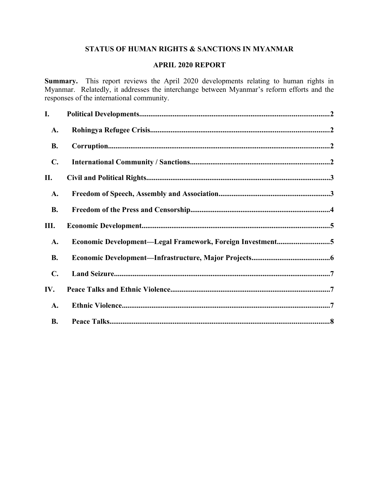# **STATUS OF HUMAN RIGHTS & SANCTIONS IN MYANMAR**

## **APRIL 2020 REPORT**

**Summary.** This report reviews the April 2020 developments relating to human rights in Myanmar. Relatedly, it addresses the interchange between Myanmar's reform efforts and the responses of the international community.

| I.             |                                                           |  |
|----------------|-----------------------------------------------------------|--|
| A.             |                                                           |  |
| <b>B.</b>      |                                                           |  |
| $\mathbf{C}$ . |                                                           |  |
| П.             |                                                           |  |
| A.             |                                                           |  |
| <b>B.</b>      |                                                           |  |
| Ш.             |                                                           |  |
| A.             | Economic Development-Legal Framework, Foreign Investment5 |  |
| <b>B.</b>      |                                                           |  |
| $\mathbf{C}$ . |                                                           |  |
| IV.            |                                                           |  |
| A.             |                                                           |  |
| <b>B.</b>      |                                                           |  |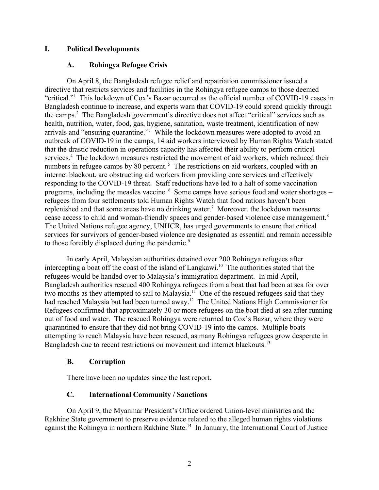## **I. Political Developments**

## <span id="page-1-3"></span><span id="page-1-0"></span>**A. Rohingya Refugee Crisis**

On April 8, the Bangladesh refugee relief and repatriation commissioner issued a directive that restricts services and facilities in the Rohingya refugee camps to those deemed "critical."<sup>1</sup> This lockdown of Cox's Bazar occurred as the official number of COVID-19 cases in Bangladesh continue to increase, and experts warn that COVID-19 could spread quickly through the camps.<sup>2</sup> The Bangladesh government's directive does not affect "critical" services such as health, nutrition, water, food, gas, hygiene, sanitation, waste treatment, identification of new arrivals and "ensuring quarantine."<sup>3</sup> While the lockdown measures were adopted to avoid an outbreak of COVID-19 in the camps, 14 aid workers interviewed by Human Rights Watch stated that the drastic reduction in operations capacity has affected their ability to perform critical services.<sup>4</sup> The lockdown measures restricted the movement of aid workers, which reduced their numbers in refugee camps by 80 percent.<sup>5</sup> The restrictions on aid workers, coupled with an internet blackout, are obstructing aid workers from providing core services and effectively responding to the COVID-19 threat. Staff reductions have led to a halt of some vaccination programs, including the measles vaccine. <sup>6</sup> Some camps have serious food and water shortages – refugees from four settlements told Human Rights Watch that food rations haven't been replenished and that some areas have no drinking water.<sup>7</sup> Moreover, the lockdown measures cease access to child and woman-friendly spaces and gender-based violence case management.<sup>8</sup> The United Nations refugee agency, UNHCR, has urged governments to ensure that critical services for survivors of gender-based violence are designated as essential and remain accessible to those forcibly displaced during the pandemic.<sup>9</sup>

In early April, Malaysian authorities detained over 200 Rohingya refugees after intercepting a boat off the coast of the island of Langkawi.<sup>10</sup> The authorities stated that the refugees would be handed over to Malaysia's immigration department. In mid-April, Bangladesh authorities rescued 400 Rohingya refugees from a boat that had been at sea for over two months as they attempted to sail to Malaysia.<sup>11</sup> One of the rescued refugees said that they had reached Malaysia but had been turned away.<sup>12</sup> The United Nations High Commissioner for Refugees confirmed that approximately 30 or more refugees on the boat died at sea after running out of food and water. The rescued Rohingya were returned to Cox's Bazar, where they were quarantined to ensure that they did not bring COVID-19 into the camps. Multiple boats attempting to reach Malaysia have been rescued, as many Rohingya refugees grow desperate in Bangladesh due to recent restrictions on movement and internet blackouts.<sup>13</sup>

## <span id="page-1-2"></span>**B. Corruption**

There have been no updates since the last report.

## <span id="page-1-1"></span>**C. International Community / Sanctions**

On April 9, the Myanmar President's Office ordered Union-level ministries and the Rakhine State government to preserve evidence related to the alleged human rights violations against the Rohingya in northern Rakhine State.<sup>14</sup> In January, the International Court of Justice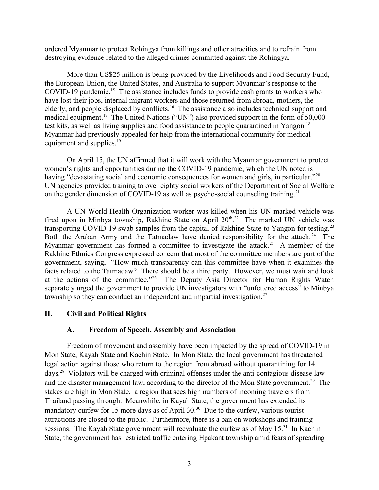ordered Myanmar to protect Rohingya from killings and other atrocities and to refrain from destroying evidence related to the alleged crimes committed against the Rohingya.

More than US\$25 million is being provided by the Livelihoods and Food Security Fund, the European Union, the United States, and Australia to support Myanmar's response to the COVID-19 pandemic.<sup>15</sup> The assistance includes funds to provide cash grants to workers who have lost their jobs, internal migrant workers and those returned from abroad, mothers, the elderly, and people displaced by conflicts.<sup>16</sup> The assistance also includes technical support and medical equipment.<sup>17</sup> The United Nations ("UN") also provided support in the form of 50,000 test kits, as well as living supplies and food assistance to people quarantined in Yangon.<sup>18</sup> Myanmar had previously appealed for help from the international community for medical equipment and supplies.<sup>19</sup>

On April 15, the UN affirmed that it will work with the Myanmar government to protect women's rights and opportunities during the COVID-19 pandemic, which the UN noted is having "devastating social and economic consequences for women and girls, in particular."<sup>20</sup> UN agencies provided training to over eighty social workers of the Department of Social Welfare on the gender dimension of COVID-19 as well as psycho-social counseling training.<sup>21</sup>

A UN World Health Organization worker was killed when his UN marked vehicle was fired upon in Minbya township, Rakhine State on April  $20<sup>th,22</sup>$  The marked UN vehicle was transporting COVID-19 swab samples from the capital of Rakhine State to Yangon for testing.<sup>23</sup> Both the Arakan Army and the Tatmadaw have denied responsibility for the attack.<sup>24</sup> The Myanmar government has formed a committee to investigate the attack.<sup>25</sup> A member of the Rakhine Ethnics Congress expressed concern that most of the committee members are part of the government, saying, "How much transparency can this committee have when it examines the facts related to the Tatmadaw? There should be a third party. However, we must wait and look at the actions of the committee."<sup>26</sup> The Deputy Asia Director for Human Rights Watch separately urged the government to provide UN investigators with "unfettered access" to Minbya township so they can conduct an independent and impartial investigation.<sup>27</sup>

## **II. Civil and Political Rights**

## <span id="page-2-1"></span><span id="page-2-0"></span>**A. Freedom of Speech, Assembly and Association**

Freedom of movement and assembly have been impacted by the spread of COVID-19 in Mon State, Kayah State and Kachin State. In Mon State, the local government has threatened legal action against those who return to the region from abroad without quarantining for 14 days.<sup>28</sup> Violators will be charged with criminal offenses under the anti-contagious disease law and the disaster management law, according to the director of the Mon State government.<sup>29</sup> The stakes are high in Mon State, a region that sees high numbers of incoming travelers from Thailand passing through. Meanwhile, in Kayah State, the government has extended its mandatory curfew for 15 more days as of April 30.<sup>30</sup> Due to the curfew, various tourist attractions are closed to the public. Furthermore, there is a ban on workshops and training sessions. The Kayah State government will reevaluate the curfew as of May 15.<sup>31</sup> In Kachin State, the government has restricted traffic entering Hpakant township amid fears of spreading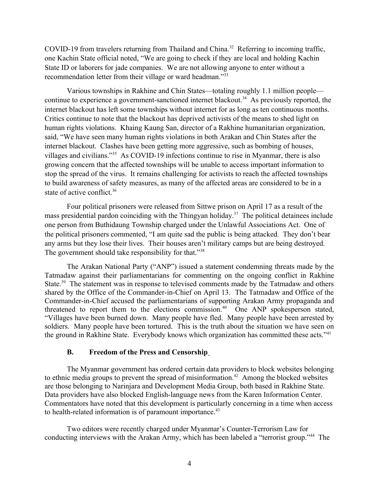COVID-19 from travelers returning from Thailand and China.<sup>32</sup> Referring to incoming traffic, one Kachin State official noted, "We are going to check if they are local and holding Kachin State ID or laborers for jade companies. We are not allowing anyone to enter without a recommendation letter from their village or ward headman."<sup>33</sup>

Various townships in Rakhine and Chin States—totaling roughly 1.1 million people continue to experience a government-sanctioned internet blackout.<sup>34</sup> As previously reported, the internet blackout has left some townships without internet for as long as ten continuous months. Critics continue to note that the blackout has deprived activists of the means to shed light on human rights violations. Khaing Kaung San, director of a Rakhine humanitarian organization, said, "We have seen many human rights violations in both Arakan and Chin States after the internet blackout. Clashes have been getting more aggressive, such as bombing of houses, villages and civilians."<sup>35</sup> As COVID-19 infections continue to rise in Myanmar, there is also growing concern that the affected townships will be unable to access important information to stop the spread of the virus. It remains challenging for activists to reach the affected townships to build awareness of safety measures, as many of the affected areas are considered to be in a state of active conflict.<sup>36</sup>

Four political prisoners were released from Sittwe prison on April 17 as a result of the mass presidential pardon coinciding with the Thingyan holiday.<sup>37</sup> The political detainees include one person from Buthidaung Township charged under the Unlawful Associations Act. One of the political prisoners commented, "I am quite sad the public is being attacked. They don't bear any arms but they lose their lives. Their houses aren't military camps but are being destroyed. The government should take responsibility for that."<sup>38</sup>

The Arakan National Party ("ANP") issued a statement condemning threats made by the Tatmadaw against their parliamentarians for commenting on the ongoing conflict in Rakhine State.<sup>39</sup> The statement was in response to televised comments made by the Tatmadaw and others shared by the Office of the Commander-in-Chief on April 13. The Tatmadaw and Office of the Commander-in-Chief accused the parliamentarians of supporting Arakan Army propaganda and threatened to report them to the elections commission.<sup>40</sup> One ANP spokesperson stated, "Villages have been burned down. Many people have fled. Many people have been arrested by soldiers. Many people have been tortured. This is the truth about the situation we have seen on the ground in Rakhine State. Everybody knows which organization has committed these acts."<sup>41</sup>

#### <span id="page-3-0"></span>**B. Freedom of the Press and Censorship**

The Myanmar government has ordered certain data providers to block websites belonging to ethnic media groups to prevent the spread of misinformation.<sup>42</sup> Among the blocked websites are those belonging to Narinjara and Development Media Group, both based in Rakhine State. Data providers have also blocked English-language news from the Karen Information Center. Commentators have noted that this development is particularly concerning in a time when access to health-related information is of paramount importance.<sup>43</sup>

Two editors were recently charged under Myanmar's Counter-Terrorism Law for conducting interviews with the Arakan Army, which has been labeled a "terrorist group."<sup>44</sup> The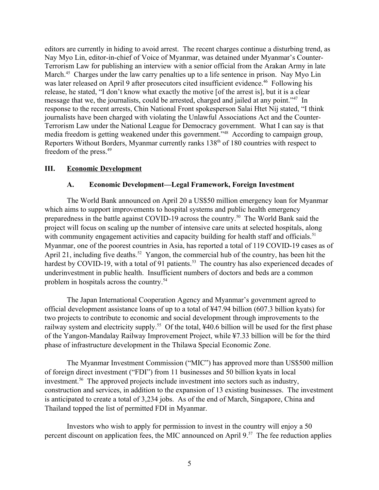editors are currently in hiding to avoid arrest. The recent charges continue a disturbing trend, as Nay Myo Lin, editor-in-chief of Voice of Myanmar, was detained under Myanmar's Counter-Terrorism Law for publishing an interview with a senior official from the Arakan Army in late March.<sup>45</sup> Charges under the law carry penalties up to a life sentence in prison. Nay Myo Lin was later released on April 9 after prosecutors cited insufficient evidence.<sup>46</sup> Following his release, he stated, "I don't know what exactly the motive [of the arrest is], but it is a clear message that we, the journalists, could be arrested, charged and jailed at any point."<sup>47</sup> In response to the recent arrests, Chin National Front spokesperson Salai Htet Nij stated, "I think journalists have been charged with violating the Unlawful Associations Act and the Counter-Terrorism Law under the National League for Democracy government. What I can say is that media freedom is getting weakened under this government."<sup>48</sup> According to campaign group, Reporters Without Borders, Myanmar currently ranks 138<sup>th</sup> of 180 countries with respect to freedom of the press.<sup>49</sup>

## **III. Economic Development**

## <span id="page-4-1"></span><span id="page-4-0"></span>**A. Economic Development—Legal Framework, Foreign Investment**

The World Bank announced on April 20 a US\$50 million emergency loan for Myanmar which aims to support improvements to hospital systems and public health emergency preparedness in the battle against COVID-19 across the country.<sup>50</sup> The World Bank said the project will focus on scaling up the number of intensive care units at selected hospitals, along with community engagement activities and capacity building for health staff and officials.<sup>51</sup> Myanmar, one of the poorest countries in Asia, has reported a total of 119 COVID-19 cases as of April 21, including five deaths.<sup>52</sup> Yangon, the commercial hub of the country, has been hit the hardest by COVID-19, with a total of 91 patients.<sup>53</sup> The country has also experienced decades of underinvestment in public health. Insufficient numbers of doctors and beds are a common problem in hospitals across the country.<sup>54</sup>

The Japan International Cooperation Agency and Myanmar's government agreed to official development assistance loans of up to a total of ¥47.94 billion (607.3 billion kyats) for two projects to contribute to economic and social development through improvements to the railway system and electricity supply.<sup>55</sup> Of the total, ¥40.6 billion will be used for the first phase of the Yangon-Mandalay Railway Improvement Project, while ¥7.33 billion will be for the third phase of infrastructure development in the Thilawa Special Economic Zone.

The Myanmar Investment Commission ("MIC") has approved more than US\$500 million of foreign direct investment ("FDI") from 11 businesses and 50 billion kyats in local investment.<sup>56</sup> The approved projects include investment into sectors such as industry, construction and services, in addition to the expansion of 13 existing businesses. The investment is anticipated to create a total of 3,234 jobs. As of the end of March, Singapore, China and Thailand topped the list of permitted FDI in Myanmar.

Investors who wish to apply for permission to invest in the country will enjoy a 50 percent discount on application fees, the MIC announced on April 9.<sup>57</sup> The fee reduction applies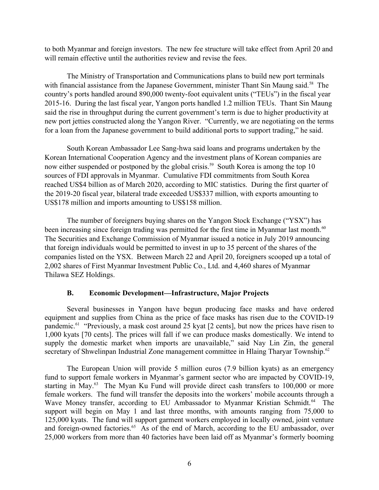to both Myanmar and foreign investors. The new fee structure will take effect from April 20 and will remain effective until the authorities review and revise the fees.

The Ministry of Transportation and Communications plans to build new port terminals with financial assistance from the Japanese Government, minister Thant Sin Maung said.<sup>58</sup> The country's ports handled around 890,000 twenty-foot equivalent units ("TEUs") in the fiscal year 2015-16. During the last fiscal year, Yangon ports handled 1.2 million TEUs. Thant Sin Maung said the rise in throughput during the current government's term is due to higher productivity at new port jetties constructed along the Yangon River. "Currently, we are negotiating on the terms for a loan from the Japanese government to build additional ports to support trading," he said.

South Korean Ambassador Lee Sang-hwa said loans and programs undertaken by the Korean International Cooperation Agency and the investment plans of Korean companies are now either suspended or postponed by the global crisis.<sup>59</sup> South Korea is among the top 10 sources of FDI approvals in Myanmar. Cumulative FDI commitments from South Korea reached US\$4 billion as of March 2020, according to MIC statistics. During the first quarter of the 2019-20 fiscal year, bilateral trade exceeded US\$337 million, with exports amounting to US\$178 million and imports amounting to US\$158 million.

The number of foreigners buying shares on the Yangon Stock Exchange ("YSX") has been increasing since foreign trading was permitted for the first time in Myanmar last month.<sup>60</sup> The Securities and Exchange Commission of Myanmar issued a notice in July 2019 announcing that foreign individuals would be permitted to invest in up to 35 percent of the shares of the companies listed on the YSX. Between March 22 and April 20, foreigners scooped up a total of 2,002 shares of First Myanmar Investment Public Co., Ltd. and 4,460 shares of Myanmar Thilawa SEZ Holdings.

## <span id="page-5-0"></span>**B. Economic Development—Infrastructure, Major Projects**

Several businesses in Yangon have begun producing face masks and have ordered equipment and supplies from China as the price of face masks has risen due to the COVID-19 pandemic.<sup>61</sup> "Previously, a mask cost around 25 kyat [2 cents], but now the prices have risen to 1,000 kyats [70 cents]. The prices will fall if we can produce masks domestically. We intend to supply the domestic market when imports are unavailable," said Nay Lin Zin, the general secretary of Shwelinpan Industrial Zone management committee in Hlaing Tharyar Township.<sup>62</sup>

The European Union will provide 5 million euros (7.9 billion kyats) as an emergency fund to support female workers in Myanmar's garment sector who are impacted by COVID-19, starting in May.<sup>63</sup> The Myan Ku Fund will provide direct cash transfers to 100,000 or more female workers. The fund will transfer the deposits into the workers' mobile accounts through a Wave Money transfer, according to EU Ambassador to Myanmar Kristian Schmidt.<sup>64</sup> The support will begin on May 1 and last three months, with amounts ranging from 75,000 to 125,000 kyats. The fund will support garment workers employed in locally owned, joint venture and foreign-owned factories.<sup>65</sup> As of the end of March, according to the EU ambassador, over 25,000 workers from more than 40 factories have been laid off as Myanmar's formerly booming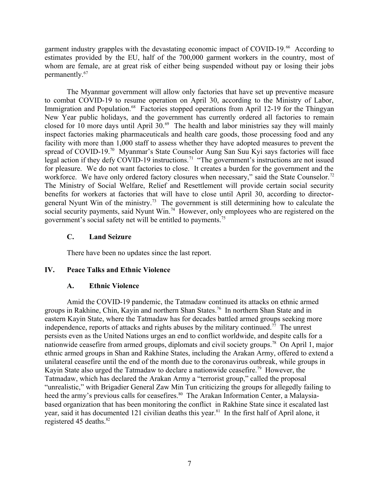garment industry grapples with the devastating economic impact of COVID-19.<sup>66</sup> According to estimates provided by the EU, half of the 700,000 garment workers in the country, most of whom are female, are at great risk of either being suspended without pay or losing their jobs permanently.<sup>67</sup>

The Myanmar government will allow only factories that have set up preventive measure to combat COVID-19 to resume operation on April 30, according to the Ministry of Labor, Immigration and Population.<sup>68</sup> Factories stopped operations from April 12-19 for the Thingyan New Year public holidays, and the government has currently ordered all factories to remain closed for 10 more days until April  $30.^{69}$  The health and labor ministries say they will mainly inspect factories making pharmaceuticals and health care goods, those processing food and any facility with more than 1,000 staff to assess whether they have adopted measures to prevent the spread of COVID-19.<sup>70</sup> Myanmar's State Counselor Aung San Suu Kyi says factories will face legal action if they defy COVID-19 instructions.<sup>71</sup> "The government's instructions are not issued for pleasure. We do not want factories to close. It creates a burden for the government and the workforce. We have only ordered factory closures when necessary," said the State Counselor.<sup>72</sup> The Ministry of Social Welfare, Relief and Resettlement will provide certain social security benefits for workers at factories that will have to close until April 30, according to directorgeneral Nyunt Win of the ministry.<sup>73</sup> The government is still determining how to calculate the social security payments, said Nyunt Win.<sup>74</sup> However, only employees who are registered on the government's social safety net will be entitled to payments.<sup>75</sup>

## <span id="page-6-2"></span>**C. Land Seizure**

<span id="page-6-1"></span>There have been no updates since the last report.

## **IV. Peace Talks and Ethnic Violence**

## <span id="page-6-0"></span>**A. Ethnic Violence**

Amid the COVID-19 pandemic, the Tatmadaw continued its attacks on ethnic armed groups in Rakhine, Chin, Kayin and northern Shan States.<sup>76</sup> In northern Shan State and in eastern Kayin State, where the Tatmadaw has for decades battled armed groups seeking more independence, reports of attacks and rights abuses by the military continued.<sup>77</sup> The unrest persists even as the United Nations urges an end to conflict worldwide, and despite calls for a nationwide ceasefire from armed groups, diplomats and civil society groups.<sup>78</sup> On April 1, major ethnic armed groups in Shan and Rakhine States, including the Arakan Army, offered to extend a unilateral ceasefire until the end of the month due to the coronavirus outbreak, while groups in Kayin State also urged the Tatmadaw to declare a nationwide ceasefire.<sup>79</sup> However, the Tatmadaw, which has declared the Arakan Army a "terrorist group," called the proposal "unrealistic," with Brigadier General Zaw Min Tun criticizing the groups for allegedly failing to heed the army's previous calls for ceasefires.<sup>80</sup> The Arakan Information Center, a Malaysiabased organization that has been monitoring the conflict in Rakhine State since it escalated last year, said it has documented 121 civilian deaths this year.<sup>81</sup> In the first half of April alone, it registered 45 deaths. $82$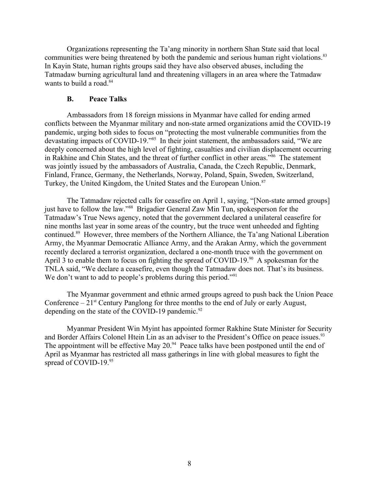Organizations representing the Ta'ang minority in northern Shan State said that local communities were being threatened by both the pandemic and serious human right violations.<sup>83</sup> In Kayin State, human rights groups said they have also observed abuses, including the Tatmadaw burning agricultural land and threatening villagers in an area where the Tatmadaw wants to build a road.<sup>84</sup>

#### <span id="page-7-0"></span>**B. Peace Talks**

Ambassadors from 18 foreign missions in Myanmar have called for ending armed conflicts between the Myanmar military and non-state armed organizations amid the COVID-19 pandemic, urging both sides to focus on "protecting the most vulnerable communities from the devastating impacts of COVID-19.<sup>785</sup> In their joint statement, the ambassadors said, "We are deeply concerned about the high level of fighting, casualties and civilian displacement occurring in Rakhine and Chin States, and the threat of further conflict in other areas."<sup>86</sup> The statement was jointly issued by the ambassadors of Australia, Canada, the Czech Republic, Denmark, Finland, France, Germany, the Netherlands, Norway, Poland, Spain, Sweden, Switzerland, Turkey, the United Kingdom, the United States and the European Union.<sup>87</sup>

The Tatmadaw rejected calls for ceasefire on April 1, saying, "[Non-state armed groups] just have to follow the law."<sup>88</sup> Brigadier General Zaw Min Tun, spokesperson for the Tatmadaw's True News agency, noted that the government declared a unilateral ceasefire for nine months last year in some areas of the country, but the truce went unheeded and fighting continued.<sup>89</sup> However, three members of the Northern Alliance, the Ta'ang National Liberation Army, the Myanmar Democratic Alliance Army, and the Arakan Army, which the government recently declared a terrorist organization, declared a one-month truce with the government on April 3 to enable them to focus on fighting the spread of COVID-19.<sup>90</sup> A spokesman for the TNLA said, "We declare a ceasefire, even though the Tatmadaw does not. That's its business. We don't want to add to people's problems during this period."<sup>91</sup>

The Myanmar government and ethnic armed groups agreed to push back the Union Peace Conference  $-21$ <sup>st</sup> Century Panglong for three months to the end of July or early August, depending on the state of the COVID-19 pandemic. $92$ 

Myanmar President Win Myint has appointed former Rakhine State Minister for Security and Border Affairs Colonel Htein Lin as an adviser to the President's Office on peace issues.<sup>93</sup> The appointment will be effective May  $20<sup>94</sup>$  Peace talks have been postponed until the end of April as Myanmar has restricted all mass gatherings in line with global measures to fight the spread of COVID-19.95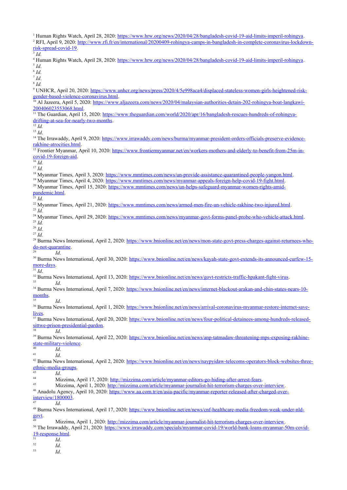<sup>1</sup> Human Rights Watch, April 28, 2020: [https://www.hrw.org/news/2020/04/28/bangladesh-covid-19-aid-limits-imperil-rohingya.](https://www.hrw.org/news/2020/04/28/bangladesh-covid-19-aid-limits-imperil-rohingya) <sup>2</sup> RFI, April 9, 2020: [http://www.rfi.fr/en/international/20200409-rohingya-camps-in-bangladesh-in-complete-coronavirus-lockdown](http://www.rfi.fr/en/international/20200409-rohingya-camps-in-bangladesh-in-complete-coronavirus-lockdown-risk-spread-covid-19)[risk-spread-covid-19.](http://www.rfi.fr/en/international/20200409-rohingya-camps-in-bangladesh-in-complete-coronavirus-lockdown-risk-spread-covid-19) 3 *Id.* <sup>4</sup> Human Rights Watch, April 28, 2020: [https://www.hrw.org/news/2020/04/28/bangladesh-covid-19-aid-limits-imperil-rohingya.](https://www.hrw.org/news/2020/04/28/bangladesh-covid-19-aid-limits-imperil-rohingya) 5 *Id*. 6 *Id.* 7 *Id*. 8 *Id.* <sup>9</sup> UNHCR, April 20, 2020: [https://www.unhcr.org/news/press/2020/4/5e998aca4/displaced-stateless-women-girls-heightened-risk](https://www.unhcr.org/news/press/2020/4/5e998aca4/displaced-stateless-women-girls-heightened-risk-gender-based-violence-coronavirus.html)[gender-based-violence-coronavirus.html](https://www.unhcr.org/news/press/2020/4/5e998aca4/displaced-stateless-women-girls-heightened-risk-gender-based-violence-coronavirus.html). <sup>10</sup> Al Jazeera, April 5, 2020: [https://www.aljazeera.com/news/2020/04/malaysian-authorities-detain-202-rohingya-boat-langkawi-](https://www.aljazeera.com/news/2020/04/malaysian-authorities-detain-202-rohingya-boat-langkawi-200406023553068.html)[200406023553068.html](https://www.aljazeera.com/news/2020/04/malaysian-authorities-detain-202-rohingya-boat-langkawi-200406023553068.html). <sup>11</sup> The Guardian, April 15, 2020: [https://www.theguardian.com/world/2020/apr/16/bangladesh-rescues-hundreds-of-rohingya](https://www.theguardian.com/world/2020/apr/16/bangladesh-rescues-hundreds-of-rohingya-drifting-at-sea-for-nearly-two-months)[drifting-at-sea-for-nearly-two-months.](https://www.theguardian.com/world/2020/apr/16/bangladesh-rescues-hundreds-of-rohingya-drifting-at-sea-for-nearly-two-months)  $\overline{\frac{12}{12}}$  *Id.* <sup>13</sup> *Id*. <sup>14</sup> The Irrawaddy, April 9, 2020: [https://www.irrawaddy.com/news/burma/myanmar-president-orders-officials-preserve-evidence](https://www.irrawaddy.com/news/burma/myanmar-president-orders-officials-preserve-evidence-rakhine-atrocities.html)[rakhine-atrocities.html](https://www.irrawaddy.com/news/burma/myanmar-president-orders-officials-preserve-evidence-rakhine-atrocities.html). <sup>15</sup> Frontier Myanmar, April 10, 2020: [https://www.frontiermyanmar.net/en/workers-mothers-and-elderly-to-benefit-from-25m-in](https://www.frontiermyanmar.net/en/workers-mothers-and-elderly-to-benefit-from-25m-in-covid-19-foreign-aid)[covid-19-foreign-aid.](https://www.frontiermyanmar.net/en/workers-mothers-and-elderly-to-benefit-from-25m-in-covid-19-foreign-aid)  $\overline{\phantom{a}^{16}}$  *Id.* <sup>17</sup> *Id.* <sup>18</sup> Myanmar Times, April 3, 2020:<https://www.mmtimes.com/news/un-provide-assistance-quarantined-people-yangon.html>. <sup>19</sup> Myanmar Times, April 4, 2020:<https://www.mmtimes.com/news/myanmar-appeals-foreign-help-covid-19-fight.html>. <sup>20</sup> Myanmar Times, April 15, 2020: [https://www.mmtimes.com/news/un-helps-safeguard-myanmar-women-rights-amid](https://www.mmtimes.com/news/un-helps-safeguard-myanmar-women-rights-amid-pandemic.html)[pandemic.html.](https://www.mmtimes.com/news/un-helps-safeguard-myanmar-women-rights-amid-pandemic.html) <sup>21</sup> *Id.* <sup>22</sup> Myanmar Times, April 21, 2020: [https://www.mmtimes.com/news/armed-men-fire-un-vehicle-rakhine-two-injured.html.](https://www.mmtimes.com/news/armed-men-fire-un-vehicle-rakhine-two-injured.html) <sup>23</sup> *Id.* <sup>24</sup> Myanmar Times, April 29, 2020: <https://www.mmtimes.com/news/myanmar-govt-forms-panel-probe-who-vehicle-attack.html>. <sup>25</sup> *Id.* <sup>26</sup> *Id.* <sup>27</sup> *Id.* 28 Burma News International, April 2, 2020: [https://www.bnionline.net/en/news/mon-state-govt-press-charges-against-returnees-who](https://www.bnionline.net/en/news/mon-state-govt-press-charges-against-returnees-who-do-not-quarantine)[do-not-quarantine](https://www.bnionline.net/en/news/mon-state-govt-press-charges-against-returnees-who-do-not-quarantine). <sup>29</sup> *Id*. <sup>30</sup> Burma News International, April 30, 2020: [https://www.bnionline.net/en/news/kayah-state-govt-extends-its-announced-curfew-15](https://www.bnionline.net/en/news/kayah-state-govt-extends-its-announced-curfew-15-more-days) [more-days.](https://www.bnionline.net/en/news/kayah-state-govt-extends-its-announced-curfew-15-more-days)  $31$  *Id.*  $32$  Burma News International, April 13, 2020: <https://www.bnionline.net/en/news/govt-restricts-traffic-hpakant-fight-virus>. <sup>33</sup> *Id*. <sup>34</sup> Burma News International, April 7, 2020: [https://www.bnionline.net/en/news/internet-blackout-arakan-and-chin-states-nears-10](https://www.bnionline.net/en/news/internet-blackout-arakan-and-chin-states-nears-10-months) [months](https://www.bnionline.net/en/news/internet-blackout-arakan-and-chin-states-nears-10-months). <sup>35</sup> *Id*. <sup>36</sup> Burma News International, April 1, 2020: [https://www.bnionline.net/en/news/arrival-coronavirus-myanmar-restore-internet-save](https://www.bnionline.net/en/news/arrival-coronavirus-myanmar-restore-internet-save-lives)[lives.](https://www.bnionline.net/en/news/arrival-coronavirus-myanmar-restore-internet-save-lives) <sup>37</sup> Burma News International, April 20, 2020: [https://www.bnionline.net/en/news/four-political-detainees-among-hundreds-released](https://www.bnionline.net/en/news/four-political-detainees-among-hundreds-released-sittwe-prison-presidential-pardon)[sittwe-prison-presidential-pardon.](https://www.bnionline.net/en/news/four-political-detainees-among-hundreds-released-sittwe-prison-presidential-pardon) <sup>38</sup> *Id*. <sup>39</sup> Burma News International, April 22, 2020: [https://www.bnionline.net/en/news/anp-tatmadaw-threatening-mps-exposing-rakhine](https://www.bnionline.net/en/news/anp-tatmadaw-threatening-mps-exposing-rakhine-state-military-violence)[state-military-violence](https://www.bnionline.net/en/news/anp-tatmadaw-threatening-mps-exposing-rakhine-state-military-violence).  $\frac{40}{41}$  *Id.* <sup>41</sup> *Id*. 42 Burma News International, April 2, 2020: [https://www.bnionline.net/en/news/naypyidaw-telecoms-operators-block-websites-three](https://www.bnionline.net/en/news/naypyidaw-telecoms-operators-block-websites-three-ethnic-media-groups)[ethnic-media-groups](https://www.bnionline.net/en/news/naypyidaw-telecoms-operators-block-websites-three-ethnic-media-groups).  $\frac{43}{44}$  *Id.* 44 Mizzima, April 17, 2020: <http://mizzima.com/article/myanmar-editors-go-hiding-after-arrest-fears>.<br>45 Mizzing, April 1, 2020: http://mizzing.com/article/myanmar-editors-go-hiding-after-arrest-fears. Mizzima, April 1, 2020:<http://mizzima.com/article/myanmar-journalist-hit-terrorism-charges-over-interview>. <sup>46</sup> Anadolu Agency, April 10, 2020: [https://www.aa.com.tr/en/asia-pacific/myanmar-reporter-released-after-charged-over](https://www.aa.com.tr/en/asia-pacific/myanmar-reporter-released-after-charged-over-interview/1800003)[interview/1800003.](https://www.aa.com.tr/en/asia-pacific/myanmar-reporter-released-after-charged-over-interview/1800003) <sup>47</sup> *Id*. <sup>48</sup> Burma News International, April 17, 2020: [https://www.bnionline.net/en/news/cnf-healthcare-media-freedom-weak-under-nld](https://www.bnionline.net/en/news/cnf-healthcare-media-freedom-weak-under-nld-govt)[govt.](https://www.bnionline.net/en/news/cnf-healthcare-media-freedom-weak-under-nld-govt) <sup>49</sup> Mizzima, April 1, 2020:<http://mizzima.com/article/myanmar-journalist-hit-terrorism-charges-over-interview>. <sup>50</sup> The Irrawaddy, April 21, 2020: [https://www.irrawaddy.com/specials/myanmar-covid-19/world-bank-loans-myanmar-50m-covid-](https://www.irrawaddy.com/specials/myanmar-covid-19/world-bank-loans-myanmar-50m-covid-19-response.html)[19-response.html](https://www.irrawaddy.com/specials/myanmar-covid-19/world-bank-loans-myanmar-50m-covid-19-response.html).  $\frac{51}{52}$  *Id.* 

 $\frac{52}{53}$  *Id.* 

<sup>53</sup> *Id*.